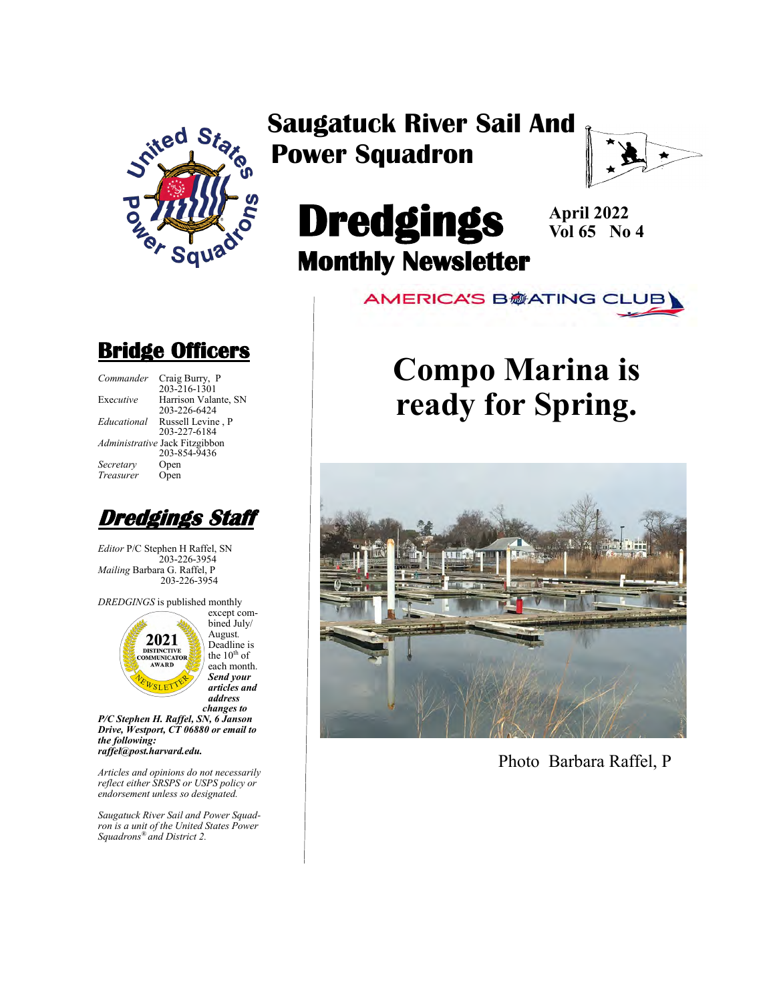

### **Saugatuck River Sail And Power Squadron**



# **Dredgings Monthly Newsletter**

**April 2022 Vol 65 No 4**

**AMERICA'S B@ATING CLUB** 

# **Compo Marina is ready for Spring.**



Photo Barbara Raffel, P

### **Bridge Officers**

| Commander   | Craig Burry, P                 |
|-------------|--------------------------------|
|             | $203 - 216 - 1301$             |
| Executive   | Harrison Valante, SN           |
|             | 203-226-6424                   |
| Educational | Russell Levine, P              |
|             | 203-227-6184                   |
|             | Administrative Jack Fitzgibbon |
|             | 203-854-9436                   |
| Secretary   | Open                           |
| Treasurer   | Open                           |
|             |                                |



*Editor* P/C Stephen H Raffel, SN 203-226-3954 *Mailing* Barbara G. Raffel, P 203-226-3954

*DREDGINGS* is published monthly



August*.*  Deadline is the  $10^{\text{th}}$  of each month. *Send your articles and address changes to*

*P/C Stephen H. Raffel, SN, 6 Janson Drive, Westport, CT 06880 or email to the following: raffel@post.harvard.edu.*

*Articles and opinions do not necessarily reflect either SRSPS or USPS policy or endorsement unless so designated.*

*Saugatuck River Sail and Power Squadron is a unit of the United States Power Squadrons® and District 2.*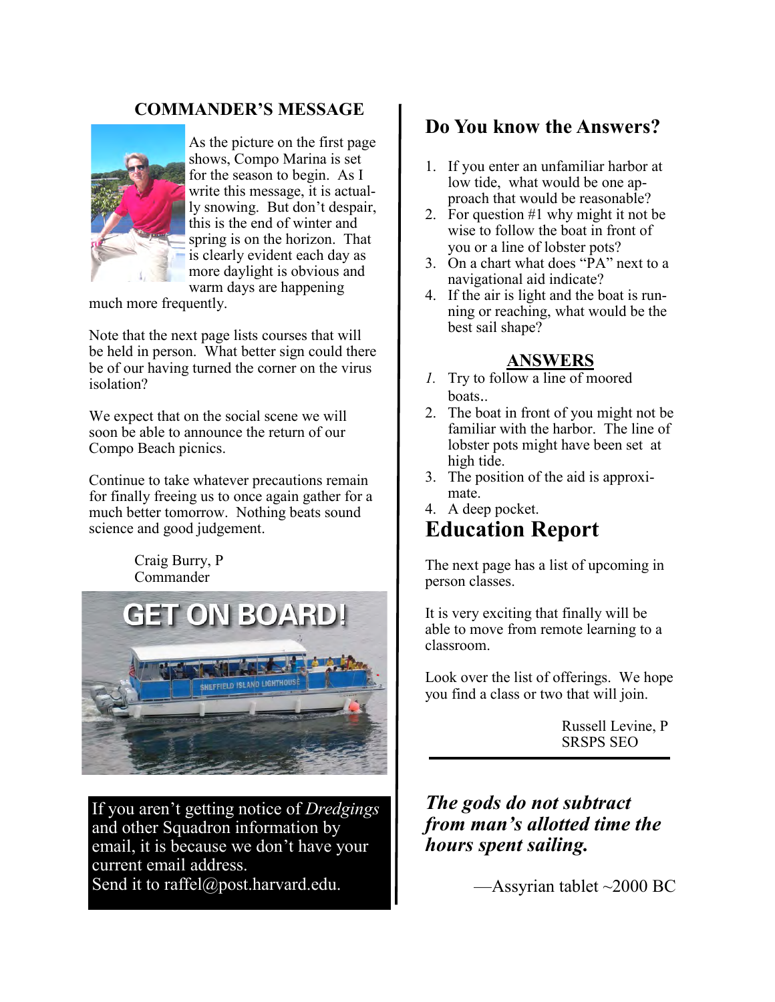#### **COMMANDER'S MESSAGE**



As the picture on the first page shows, Compo Marina is set for the season to begin. As I write this message, it is actually snowing. But don't despair, this is the end of winter and spring is on the horizon. That is clearly evident each day as more daylight is obvious and warm days are happening

much more frequently.

Note that the next page lists courses that will be held in person. What better sign could there be of our having turned the corner on the virus isolation?

We expect that on the social scene we will soon be able to announce the return of our Compo Beach picnics.

Continue to take whatever precautions remain for finally freeing us to once again gather for a much better tomorrow. Nothing beats sound science and good judgement.

> Craig Burry, P Commander



If you aren't getting notice of *Dredgings* and other Squadron information by email, it is because we don't have your current email address. Send it to raffel@post.harvard.edu.

#### **Do You know the Answers?**

- 1. If you enter an unfamiliar harbor at low tide, what would be one approach that would be reasonable?
- 2. For question #1 why might it not be wise to follow the boat in front of you or a line of lobster pots?
- 3. On a chart what does "PA" next to a navigational aid indicate?
- 4. If the air is light and the boat is running or reaching, what would be the best sail shape?

#### **ANSWERS**

- *1.* Try to follow a line of moored boats..
- 2. The boat in front of you might not be familiar with the harbor. The line of lobster pots might have been set at high tide.
- 3. The position of the aid is approximate.
- 4. A deep pocket. **Education Report**

The next page has a list of upcoming in person classes.

It is very exciting that finally will be able to move from remote learning to a classroom.

Look over the list of offerings. We hope you find a class or two that will join.

> Russell Levine, P SRSPS SEO

*The gods do not subtract from man's allotted time the hours spent sailing.*

—Assyrian tablet ~2000 BC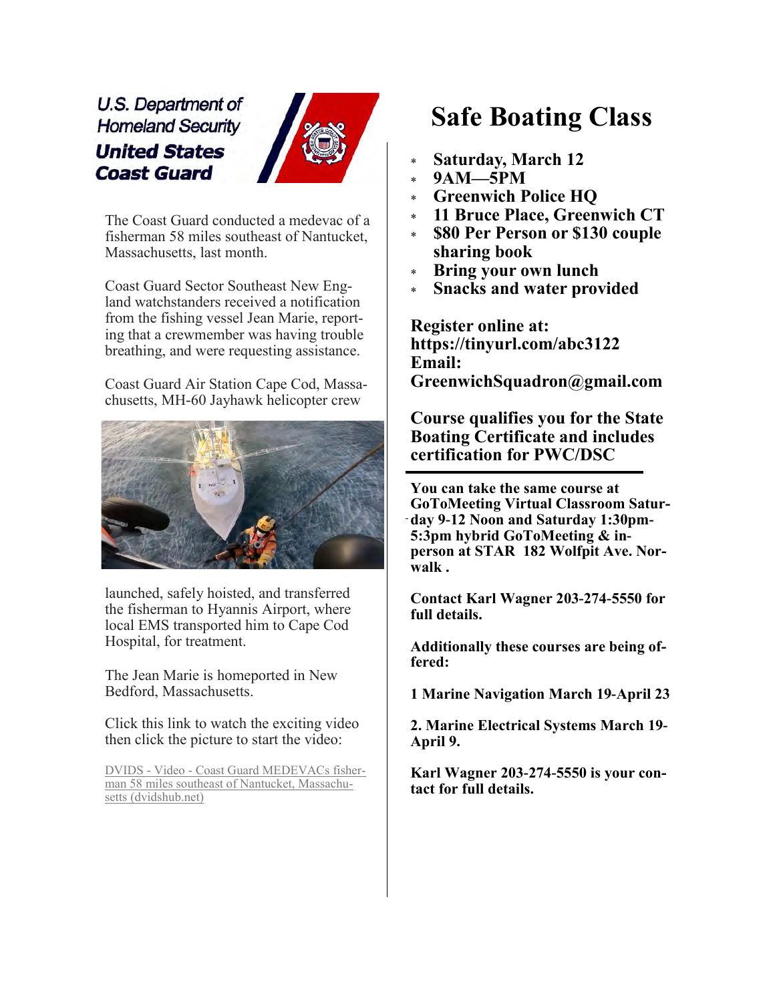U.S. Department of **Homeland Security United States Coast Guard** 



The Coast Guard conducted a medevac of a fisherman 58 miles southeast of Nantucket, Massachusetts, last month.

Coast Guard Sector Southeast New England watchstanders received a notification from the fishing vessel Jean Marie, reporting that a crewmember was having trouble breathing, and were requesting assistance.

Coast Guard Air Station Cape Cod, Massachusetts, MH-60 Jayhawk helicopter crew



launched, safely hoisted, and transferred the fisherman to Hyannis Airport, where local EMS transported him to Cape Cod Hospital, for treatment.

The Jean Marie is homeported in New Bedford, Massachusetts.

Click this link to watch the exciting video then click the picture to start the video:

DVIDS - Video - [Coast Guard MEDEVACs fisher](https://www.dvidshub.net/video/831085/coast-guard-medevacs-fisherman-58-miles-southeast-nantucket-massachusetts)[man 58 miles southeast of Nantucket, Massachu](https://www.dvidshub.net/video/831085/coast-guard-medevacs-fisherman-58-miles-southeast-nantucket-massachusetts)[setts \(dvidshub.net\)](https://www.dvidshub.net/video/831085/coast-guard-medevacs-fisherman-58-miles-southeast-nantucket-massachusetts)

### **Safe Boating Class**

- **Saturday, March 12**
- **9AM—5PM**
- **Greenwich Police HQ**
- **11 Bruce Place, Greenwich CT**
- **\$80 Per Person or \$130 couple sharing book**
- **Bring your own lunch**
- **Snacks and water provided**

**Register online at: https://tinyurl.com/abc3122 Email: GreenwichSquadron@gmail.com**

**Course qualifies you for the State Boating Certificate and includes certification for PWC/DSC**

**You can take the same course at GoToMeeting Virtual Classroom Saturday 9-12 Noon and Saturday 1:30pm-5:3pm hybrid GoToMeeting & inperson at STAR 182 Wolfpit Ave. Norwalk .** 

**Contact Karl Wagner 203-274-5550 for full details.**

**Additionally these courses are being offered:**

**1 Marine Navigation March 19-April 23**

**2. Marine Electrical Systems March 19- April 9.**

**Karl Wagner 203-274-5550 is your contact for full details.**